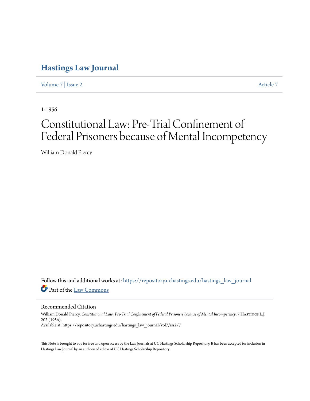## **[Hastings Law Journal](https://repository.uchastings.edu/hastings_law_journal?utm_source=repository.uchastings.edu%2Fhastings_law_journal%2Fvol7%2Fiss2%2F7&utm_medium=PDF&utm_campaign=PDFCoverPages)**

[Volume 7](https://repository.uchastings.edu/hastings_law_journal/vol7?utm_source=repository.uchastings.edu%2Fhastings_law_journal%2Fvol7%2Fiss2%2F7&utm_medium=PDF&utm_campaign=PDFCoverPages) | [Issue 2](https://repository.uchastings.edu/hastings_law_journal/vol7/iss2?utm_source=repository.uchastings.edu%2Fhastings_law_journal%2Fvol7%2Fiss2%2F7&utm_medium=PDF&utm_campaign=PDFCoverPages) [Article 7](https://repository.uchastings.edu/hastings_law_journal/vol7/iss2/7?utm_source=repository.uchastings.edu%2Fhastings_law_journal%2Fvol7%2Fiss2%2F7&utm_medium=PDF&utm_campaign=PDFCoverPages)

1-1956

## Constitutional Law: Pre-Trial Confinement of Federal Prisoners because of Mental Incompetency

William Donald Piercy

Follow this and additional works at: [https://repository.uchastings.edu/hastings\\_law\\_journal](https://repository.uchastings.edu/hastings_law_journal?utm_source=repository.uchastings.edu%2Fhastings_law_journal%2Fvol7%2Fiss2%2F7&utm_medium=PDF&utm_campaign=PDFCoverPages) Part of the [Law Commons](http://network.bepress.com/hgg/discipline/578?utm_source=repository.uchastings.edu%2Fhastings_law_journal%2Fvol7%2Fiss2%2F7&utm_medium=PDF&utm_campaign=PDFCoverPages)

Recommended Citation

William Donald Piercy, *Constitutional Law: Pre-Trial Confinement of Federal Prisoners because of Mental Incompetency*, 7 Hastings L.J. 202 (1956). Available at: https://repository.uchastings.edu/hastings\_law\_journal/vol7/iss2/7

This Note is brought to you for free and open access by the Law Journals at UC Hastings Scholarship Repository. It has been accepted for inclusion in Hastings Law Journal by an authorized editor of UC Hastings Scholarship Repository.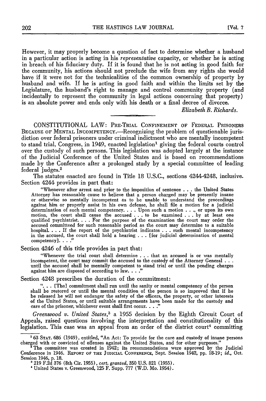However, it may properly become a question of fact to determine whether a husband in a particular action is acting in his *representative* capacity, or whether he is acting in breach of his fiduciary duty. If it is found that he is not acting in good faith for the community, his actions should not preclude the wife from any rights she would have if it were not for the technicalities of the common ownership of property by husband and wife. If he is acting in good faith and within the limits set by the Legislature, the husband's right to manage and control community property (and incidentally to represent the community in legal actions concerning that property) is an absolute power and ends only with his death or a final decree of divorce.

*Elizabeth B. Richards.*

CONSTITUTIONAL LAW: PRE-TRIAL CONFINEMENT OF FEDERAL PRISONERS BECAUSE OF MENTAL INCOMPETENCY.-Recognizing the problem of questionable jurisdiction over federal prisoners under criminal indictment who are mentally incompetent to stand trial, Congress, in 1949, enacted legislation' giving the federal courts control over the custody of such persons. This legislation was adopted largely at the instance of the Judicial Conference of the United States and is based on recommendations made **by** the Conference after a prolonged study **by** a special committee of leading federal judges. <sup>2</sup>

The statutes enacted are found in Title 18 U.S.C., sections 42444248, inclusive. Section 4244 provides in part that:

"Whenever after arrest and prior to the imposition of sentence . . . the United States Attorney has reasonable cause to believe that a person charged may be presently insane or otherwise so mentally incompetent as to be unable to understand the proceedings against him or properly assist in his own defense, he shall file a motion for a judicial determination of such mental competency **....** Upon such a motion . . ., or upon its own motion, the court shall cause the accused **. . .** to be examined **... by** at least one qualified psychiatrist. . **.** . For the purpose of the examination the court may order the accused committeed for such reasonable period as the court may determine to a suitable hospital. . **.** . If the report of the psychiatrist indicates . . **.** such mental incompetency in the accused, the court shall hold a hearing . . . [for judicial determination of mental competency]. **.. ."**

Section 4246 of this title provides in part that:

"Whenever the trial court shall determine . . . that an accused is or was mentally incompetent, the court may commit the accused to the custody of the Attorney General **. . .** until the accused shall be mentally competent to stand trial or until the pending charges against him are disposed of according to law. **.. ."**

Section 4248 prescribes the duration of the commitment:

**"...** [The] commitment shall run until the sanity or mental competency of the person shall be restored or until the mental condition of the person is so improved that if he be released he will not endanger the safety of the officers, the property, or other interests of the United States, or until suitable arrangements have been made for the custody and care of the prisoner, whichever event shall first occur **... "**

*Greenwood v. United States,3* a 1955 decision **by** the Eighth Circuit Court of Appeals, raised questions involving the interpretation and constitutionality of this legislation. This case was an appeal from an order of the district court<sup>4</sup> committing

**<sup>&#</sup>x27;63 STAT.** 686 (1949), entitled, "An Act: To provide for the care and custody of insane persons charged with or convicted of offenses against the United States, and for other purposes." **'** The committee was created in 1942; its recommendations were approved by the Judicial

Conference in 1946. REPORT OF THE **JUDICIAL** CONFERENCE, Sept. Session 1942, pp. 18-19; *id.,* Oct. Session 1946, p. 18. **a** 219 F.2d **376** (8th Cir. 1955), *cert. granted,* 350 U.S. 821 (1955).

<sup>&#</sup>x27;United States v. Greenwood, 125 F. Supp. 777 (W.D. Mo. 1954).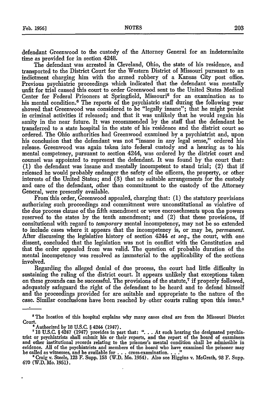defendant Greenwood to the custody of the Attorney General for an indeterminite time as provided for in section 4248.

The defendant was arrested in Cleveland, Ohio, the state of his residence, and transported to the District Court for the Western District of Missouri pursuant to an indictment charging him with the armed robbery of a Kansas City post office. Previous psychiatric proceedings which indicated that the defendant was mentally unfit for trial caused this court to order Greenwood sent to the United States Medical Center for Federal Prisoners at Springfield, Missouri<sup>5</sup> for an examination as to his mental condition.<sup>6</sup> The reports of the psychiatric staff during the following year showed that Greenwood was considered to be "legally insane"; that he might persist in criminal activities if released; and that it was unlikely that he would regain his sanity in the near future. It was recommended by the staff that the defendant be transferred to a state hospital in the state of his residence and the district court so ordered. The Ohio authorities had Greenwood examined by a psychiatrist and, upon his conclusion that the defendant was not "insane in any legal sense," ordered his release. Greenwood was again taken into federal custody and a hearing as to his mental competency, pursuant to section 4244, was ordered by the district court and counsel was appointed to represent the defendant. It was found by the court that: (1) the defendant was insane and mentally incompetent to stand trial; (2) that if released he would probably endanger the safety of the officers, the property, or other interests of the United States; and (3) that no suitable arrangements for the custody and care of the defendant, other than commitment to the custody of the Attorney General, were presently available.

From'this order, Greenwood appealed, charging that: (1) the statutory provisions authorizing such proceedings and commitment were unconstitutional as violative of the due process clause of the fifth amendment or were encroachments upon the powers reserved to the states by the tenth amendment; and (2) that these provisions, if consitutional with regard to *temporary* mental incompetency, may not be so extended to include cases where it appears that the incompetency is, or may be, *permanent.* After discussing the legislative history of section 4244 *et seq.,* the court, with one dissent, concluded that the legislation was not in conflict with the Constitution and that the order appealed from was valid. The question of probable duration of the mental incompetency was resolved as immaterial to the applicability of the sections involved.

Regarding the alleged denial of due process, the court had little difficulty in sustaining the ruling of the district court. It appears unlikely that exceptions taken on these grounds can be successful. The provisions of the statute, $7$  if properly followed, adequately safeguard the right of the defendant to be heard and to defend himself and the proceedings provided for are suitable and appropriate to the nature of the case. Similar conclusions have been reached by other courts ruling upon this issue. $\delta$ 

The location of this hospital explains why many cases cited are from the Missouri District Court.<br>Court. ed by 18 U.S.C. § 4244 (1947).

<sup>&</sup>lt;sup>7</sup> 18 U.S.C. § 4247 (1947) provides in part that: ". . . At such hearing the designated psychia-<br>trist or psychiatrists shall submit his or their reports, and the report of the board of examiners and other institutional records relating to the prisoner's mental condition shall be admissible in evidence. **All** of the psychiatrists and members of the board who have examined the prisoner may be called as witnesses, and be available for **.. .**cross-examination. **.. ." 'Craig** v. Steele, **123** F. Supp. **153** (W.D. Mo. 1954). Also see Higgins v. McGrath, 98 F. Supp.

**<sup>670</sup>** (W.D. Mo. **1951).**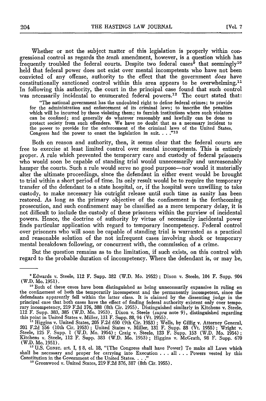Whether or not the subject matter of this legislation is properly within congressional control as regards the *tenth* amendment, however, is a question which has frequently troubled the federal courts. Despite two federal cases<sup> $9$ </sup> that seemingly<sup>10</sup> held that federal power does not exist over mental incompetents who have not been convicted of any offense, authority to the effect that the government *does* have constitutionally sanctioned control within this area appears to be overwhelming.<sup>11</sup> In following this authority, the court in the principal case found that such control was necessarily incidental to enumerated federal powers.<sup>12</sup> The court stated that:

"The national government has the undoubted right to define federal crimes; to provide for the administration and enforcement of its criminal laws; to inscribe the penalties which will be incurred by those violating them; to furnish institutions where such violators which will be incurred **by** those violating them; to furnish institutions where such violators can be confined; and generally do whatever reasonably and lawfully can be done to protect society from such offenders. We have no doubt that as a necessary incident to the power to provide for the enforcement of the criminal laws of the United States, Congress had the power to enact the legislation in suit. . . . "13

Both on reason and authority, then, it seems clear that the federal courts are free to exercise at least limited control over mental incompetents. This is entirely proper. **A** rule which prevented the temporary care and custody of federal prisoners who would soon be capable of standing trial would unnecessarily and unreasonably hamper the courts. Such a rule would serve no good purpose—nor would it materially alter the ultimate proceedings, since the defendant in either event would be brought to trial within a short period of time. Its only result would be to require the temporary transfer of the defendant to a state hospital, or, if the hospital were unwilling to take custody, to make necessary his outright release until such time as sanity has been restored. As long as the primary objective of the confinement is the forthcoming prosecution, and such confinement may be classified as a mere temporary delay, it is not difficult to include the custody of these prisoners within the purview of incidental powers. Hence, the doctrine of authority **by** virtue of necessarily incidental power finds particular application with regard to temporary incompetency. Federal control over prisoners who will soon be capable of standing trial is warranted as a practical and reasonable solution of the not infrequent cases involving shock or temporary mental breakdown following, or concurrent with, the commission of a crime.

But the question remains as to the limitation, if such exists, on this control with regard to the probable duration of incompetency. Where the defendant is, or may be,

<sup>12</sup> U.S. Consr. art. I, § 8, cl. 18, "[The Congress shall have Power] To make all Laws which shall be necessary and proper for carrying into Execution **.. .**all **.. .**Powers vested **by** this Constitution in the Government of the United States. . . ."

**"** Greenwood v. United States, **219 F.2d 376, 387** (8th Cir. **1955).**

<sup>&#</sup>x27;Edwards v. Steele, 112 F. Supp. **382** (W.D. Mo. **1952);** Dixon v. Steele, 104 F. Supp. 904 (W.D. Mo. **1951). <sup>10</sup>**Both of these cases have been distinguished as being unnecessarily expansive in ruling on

the confinement of both the temporarily incompetent and the permanently incompetent, since the defendants apparently fell within the latter class. It is claimed **by** the dissenting judge in the principal case that both cases have the effect of finding federal authority existent only over temporary incompetency, 219 F.2d 376, 388 (8th Cir. 1955). Distinguished similarly in Kitchens v. Steele,<br>112 F. Supp. 383, 385 (W.D. Mo. 1953). Dixon v. Steele (*supra* note 9). distinguished regarding this point in United States v. Miller, **131** F. Supp. **88,** 94 (Vt. **1955).**

<sup>&</sup>lt;sup>11</sup> Higgins v. United States, 205 F.2d 650 (9th Cir. 1953); Wells, by Gillig v. Attorney General, 201 F.2d 556 (10th Cir. 1953); United States v. Miller, 131 F. Supp. 88 (Vt. 1955); Wright v. Steele, 125 F. Supp. 1 (W.D. Kitchens v. Steele, 112 F. Supp. **383** (W.D. Mo. **1953);** Higgins v. McGrath, **98** F. Supp. **670** (W.D. Mo. **1951).**